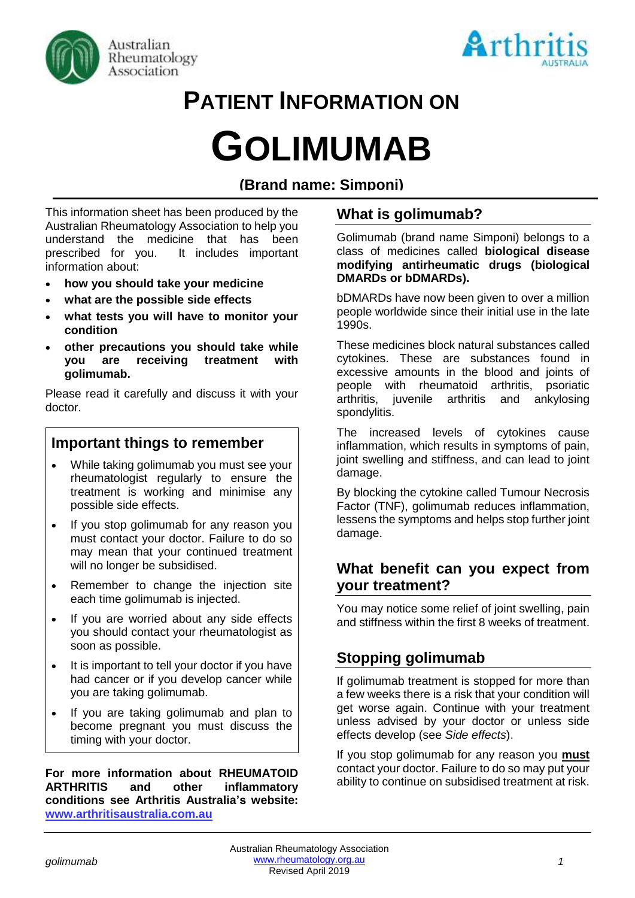



# **PATIENT INFORMATION ON**

# **GOLIMUMAB**

# **(Brand name: Simponi)**

This information sheet has been produced by the Australian Rheumatology Association to help you understand the medicine that has been prescribed for you. It includes important information about:

- **how you should take your medicine**
- **what are the possible side effects**
- **what tests you will have to monitor your condition**
- **other precautions you should take while you are receiving treatment with golimumab.**

Please read it carefully and discuss it with your doctor.

# **Important things to remember**

- While taking golimumab you must see your rheumatologist regularly to ensure the treatment is working and minimise any possible side effects.
- If you stop golimumab for any reason you must contact your doctor. Failure to do so may mean that your continued treatment will no longer be subsidised.
- Remember to change the injection site each time golimumab is injected.
- If you are worried about any side effects you should contact your rheumatologist as soon as possible.
- It is important to tell your doctor if you have had cancer or if you develop cancer while you are taking golimumab.
- If you are taking golimumab and plan to become pregnant you must discuss the timing with your doctor.

**For more information about RHEUMATOID ARTHRITIS and other inflammatory conditions see Arthritis Australia's website: [www.arthritisaustralia.com.au](http://www.arthritisaustralia.com.au/)**

# **What is golimumab?**

Golimumab (brand name Simponi) belongs to a class of medicines called **biological disease modifying antirheumatic drugs (biological DMARDs or bDMARDs).** 

bDMARDs have now been given to over a million people worldwide since their initial use in the late 1990s.

These medicines block natural substances called cytokines. These are substances found in excessive amounts in the blood and joints of people with rheumatoid arthritis, psoriatic arthritis, juvenile arthritis and ankylosing spondylitis.

The increased levels of cytokines cause inflammation, which results in symptoms of pain, joint swelling and stiffness, and can lead to joint damage.

By blocking the cytokine called Tumour Necrosis Factor (TNF), golimumab reduces inflammation, lessens the symptoms and helps stop further joint damage.

## **What benefit can you expect from your treatment?**

You may notice some relief of joint swelling, pain and stiffness within the first 8 weeks of treatment.

# **Stopping golimumab**

If golimumab treatment is stopped for more than a few weeks there is a risk that your condition will get worse again. Continue with your treatment unless advised by your doctor or unless side effects develop (see *Side effects*).

If you stop golimumab for any reason you **must** contact your doctor. Failure to do so may put your ability to continue on subsidised treatment at risk.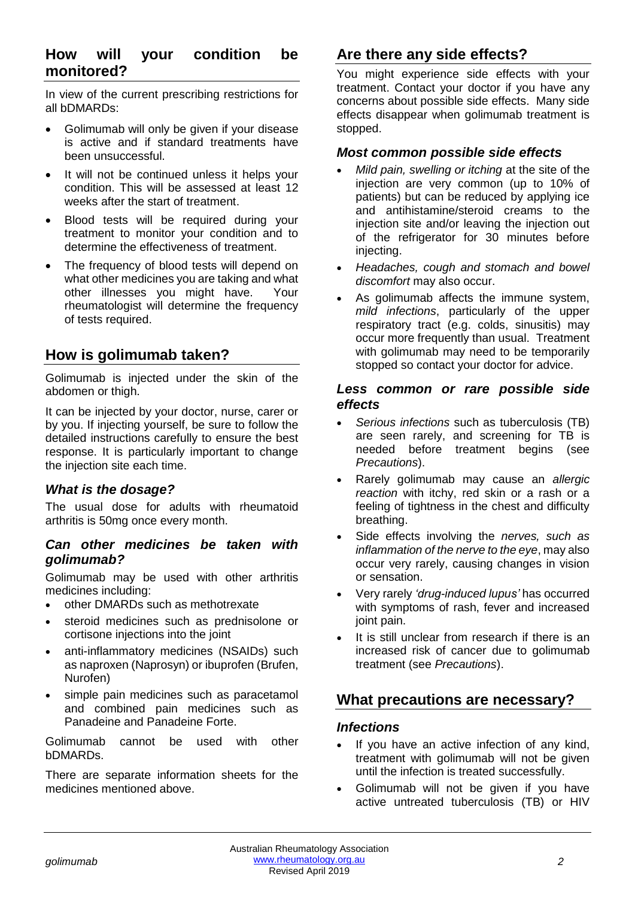# **How will your condition be monitored?**

In view of the current prescribing restrictions for all bDMARDs:

- Golimumab will only be given if your disease is active and if standard treatments have been unsuccessful.
- It will not be continued unless it helps your condition. This will be assessed at least 12 weeks after the start of treatment.
- Blood tests will be required during your treatment to monitor your condition and to determine the effectiveness of treatment.
- The frequency of blood tests will depend on what other medicines you are taking and what other illnesses you might have. Your rheumatologist will determine the frequency of tests required.

# **How is golimumab taken?**

Golimumab is injected under the skin of the abdomen or thigh.

It can be injected by your doctor, nurse, carer or by you. If injecting yourself, be sure to follow the detailed instructions carefully to ensure the best response. It is particularly important to change the injection site each time.

#### *What is the dosage?*

The usual dose for adults with rheumatoid arthritis is 50mg once every month.

#### *Can other medicines be taken with golimumab?*

Golimumab may be used with other arthritis medicines including:

- other DMARDs such as methotrexate
- steroid medicines such as prednisolone or cortisone injections into the joint
- anti-inflammatory medicines (NSAIDs) such as naproxen (Naprosyn) or ibuprofen (Brufen, Nurofen)
- simple pain medicines such as paracetamol and combined pain medicines such as Panadeine and Panadeine Forte.

Golimumab cannot be used with other bDMARDs.

There are separate information sheets for the medicines mentioned above.

# **Are there any side effects?**

You might experience side effects with your treatment. Contact your doctor if you have any concerns about possible side effects. Many side effects disappear when golimumab treatment is stopped.

#### *Most common possible side effects*

- *Mild pain, swelling or itching* at the site of the injection are very common (up to 10% of patients) but can be reduced by applying ice and antihistamine/steroid creams to the injection site and/or leaving the injection out of the refrigerator for 30 minutes before injecting.
- *Headaches, cough and stomach and bowel discomfort* may also occur.
- As golimumab affects the immune system, *mild infections*, particularly of the upper respiratory tract (e.g. colds, sinusitis) may occur more frequently than usual. Treatment with golimumab may need to be temporarily stopped so contact your doctor for advice.

#### *Less common or rare possible side effects*

- *Serious infections* such as tuberculosis (TB) are seen rarely, and screening for TB is needed before treatment begins (see *Precautions*).
- Rarely golimumab may cause an *allergic reaction* with itchy, red skin or a rash or a feeling of tightness in the chest and difficulty breathing.
- Side effects involving the *nerves, such as inflammation of the nerve to the eye*, may also occur very rarely, causing changes in vision or sensation.
- Very rarely *'drug-induced lupus'* has occurred with symptoms of rash, fever and increased joint pain.
- It is still unclear from research if there is an increased risk of cancer due to golimumab treatment (see *Precautions*).

# **What precautions are necessary?**

#### *Infections*

- If you have an active infection of any kind. treatment with golimumab will not be given until the infection is treated successfully.
- Golimumab will not be given if you have active untreated tuberculosis (TB) or HIV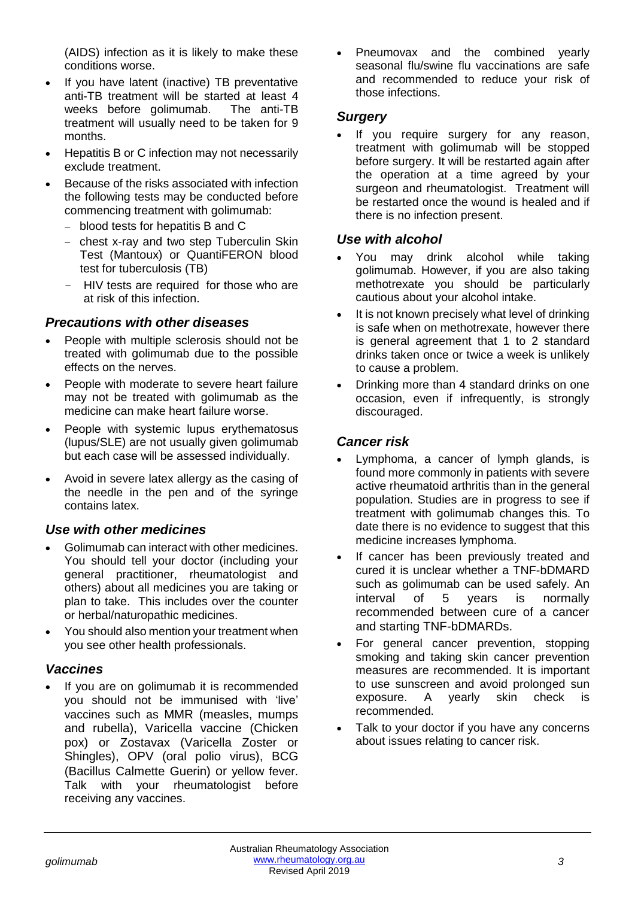(AIDS) infection as it is likely to make these conditions worse.

- If you have latent (inactive) TB preventative anti-TB treatment will be started at least 4 weeks before golimumab. The anti-TB treatment will usually need to be taken for 9 months.
- Hepatitis B or C infection may not necessarily exclude treatment.
- Because of the risks associated with infection the following tests may be conducted before commencing treatment with golimumab:
	- − blood tests for hepatitis B and C
	- − chest x-ray and two step Tuberculin Skin Test (Mantoux) or QuantiFERON blood test for tuberculosis (TB)
	- HIV tests are required for those who are at risk of this infection.

#### *Precautions with other diseases*

- People with multiple sclerosis should not be treated with golimumab due to the possible effects on the nerves.
- People with moderate to severe heart failure may not be treated with golimumab as the medicine can make heart failure worse.
- People with systemic lupus erythematosus (lupus/SLE) are not usually given golimumab but each case will be assessed individually.
- Avoid in severe latex allergy as the casing of the needle in the pen and of the syringe contains latex.

#### *Use with other medicines*

- Golimumab can interact with other medicines. You should tell your doctor (including your general practitioner, rheumatologist and others) about all medicines you are taking or plan to take. This includes over the counter or herbal/naturopathic medicines.
- You should also mention your treatment when you see other health professionals.

#### *Vaccines*

If you are on golimumab it is recommended you should not be immunised with 'live' vaccines such as MMR (measles, mumps and rubella), Varicella vaccine (Chicken pox) or Zostavax (Varicella Zoster or Shingles), OPV (oral polio virus), BCG (Bacillus Calmette Guerin) or yellow fever. Talk with your rheumatologist before receiving any vaccines.

Pneumovax and the combined yearly seasonal flu/swine flu vaccinations are safe and recommended to reduce your risk of those infections.

#### *Surgery*

If you require surgery for any reason, treatment with golimumab will be stopped before surgery. It will be restarted again after the operation at a time agreed by your surgeon and rheumatologist. Treatment will be restarted once the wound is healed and if there is no infection present.

#### *Use with alcohol*

- You may drink alcohol while taking golimumab. However, if you are also taking methotrexate you should be particularly cautious about your alcohol intake.
- It is not known precisely what level of drinking is safe when on methotrexate, however there is general agreement that 1 to 2 standard drinks taken once or twice a week is unlikely to cause a problem.
- Drinking more than 4 standard drinks on one occasion, even if infrequently, is strongly discouraged.

### *Cancer risk*

- Lymphoma, a cancer of lymph glands, is found more commonly in patients with severe active rheumatoid arthritis than in the general population. Studies are in progress to see if treatment with golimumab changes this. To date there is no evidence to suggest that this medicine increases lymphoma.
- If cancer has been previously treated and cured it is unclear whether a TNF-bDMARD such as golimumab can be used safely. An interval of 5 years is normally recommended between cure of a cancer and starting TNF-bDMARDs.
- For general cancer prevention, stopping smoking and taking skin cancer prevention measures are recommended. It is important to use sunscreen and avoid prolonged sun<br>exposure. A vearly skin check is exposure. A yearly skin check is recommended.
- Talk to your doctor if you have any concerns about issues relating to cancer risk.